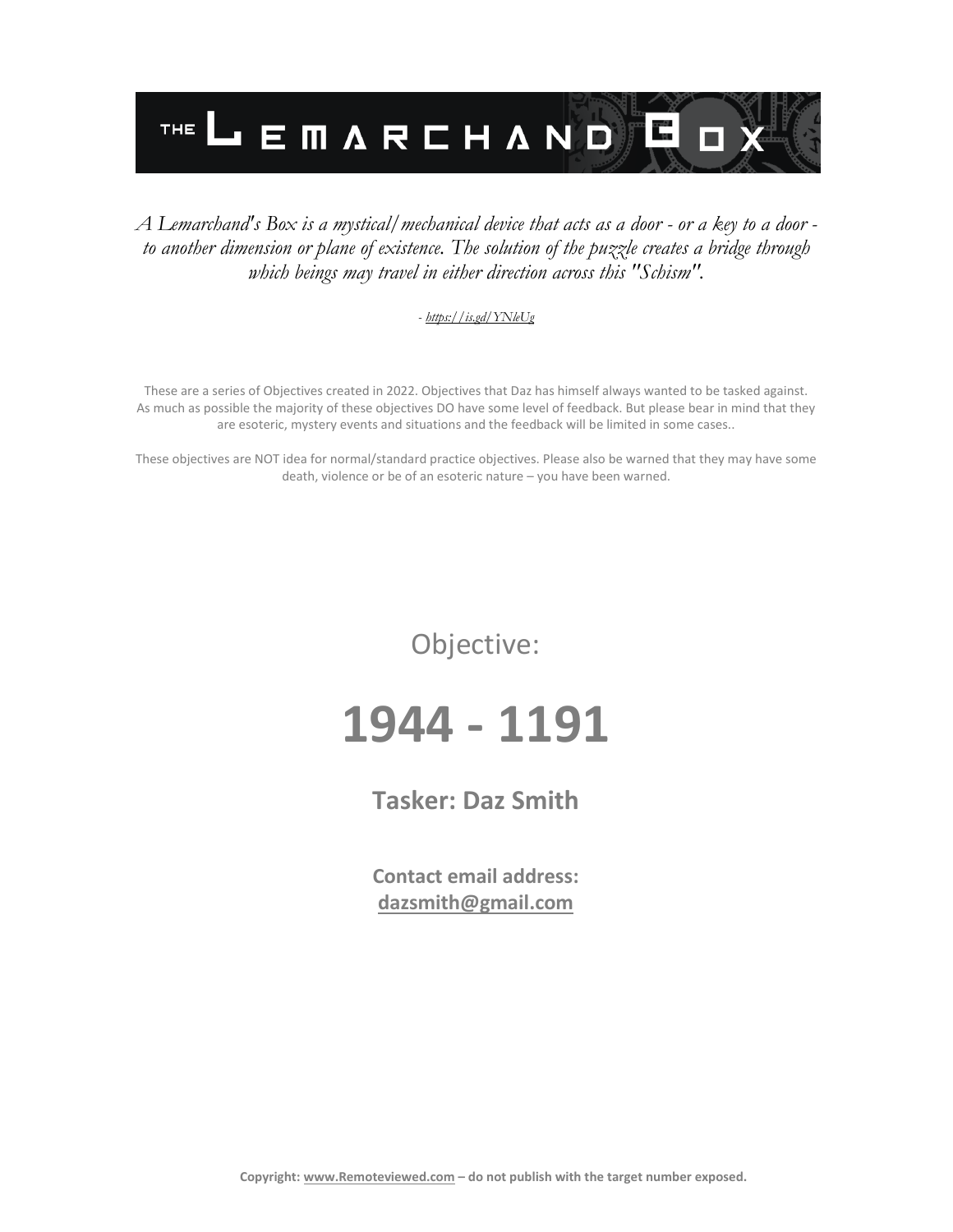

#### *A Lemarchand's Box is a mystical/mechanical device that acts as a door - or a key to a door to another dimension or plane of existence. The solution of the puzzle creates a bridge through which beings may travel in either direction across this "Schism".*

#### *- <https://is.gd/YNleUg>*

These are a series of Objectives created in 2022. Objectives that Daz has himself always wanted to be tasked against. As much as possible the majority of these objectives DO have some level of feedback. But please bear in mind that they are esoteric, mystery events and situations and the feedback will be limited in some cases..

These objectives are NOT idea for normal/standard practice objectives. Please also be warned that they may have some death, violence or be of an esoteric nature – you have been warned.

Objective:

# **1944 - 1191**

**Tasker: Daz Smith**

**Contact email address: [dazsmith@gmail.com](mailto:dazsmith@gmail.com)**